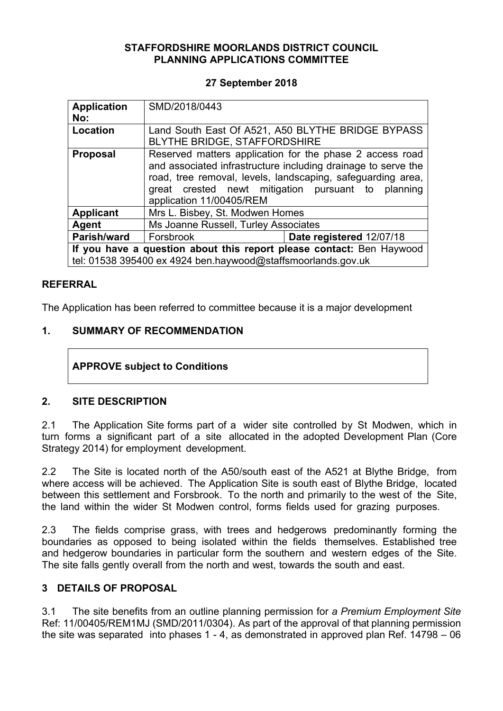### **STAFFORDSHIRE MOORLANDS DISTRICT COUNCIL PLANNING APPLICATIONS COMMITTEE**

#### **27 September 2018**

| <b>Application</b><br>No:                                                                                                            | SMD/2018/0443                                                                                                                                                                                                                                                     |                          |
|--------------------------------------------------------------------------------------------------------------------------------------|-------------------------------------------------------------------------------------------------------------------------------------------------------------------------------------------------------------------------------------------------------------------|--------------------------|
| Location                                                                                                                             | Land South East Of A521, A50 BLYTHE BRIDGE BYPASS<br><b>BLYTHE BRIDGE, STAFFORDSHIRE</b>                                                                                                                                                                          |                          |
| <b>Proposal</b>                                                                                                                      | Reserved matters application for the phase 2 access road<br>and associated infrastructure including drainage to serve the<br>road, tree removal, levels, landscaping, safeguarding area,<br>great crested newt mitigation pursuant to<br>application 11/00405/REM | planning                 |
| <b>Applicant</b>                                                                                                                     | Mrs L. Bisbey, St. Modwen Homes                                                                                                                                                                                                                                   |                          |
| Agent                                                                                                                                | Ms Joanne Russell, Turley Associates                                                                                                                                                                                                                              |                          |
| <b>Parish/ward</b>                                                                                                                   | Forsbrook                                                                                                                                                                                                                                                         | Date registered 12/07/18 |
| If you have a question about this report please contact: Ben Haywood<br>tel: 01538 395400 ex 4924 ben.haywood@staffsmoorlands.gov.uk |                                                                                                                                                                                                                                                                   |                          |

### **REFERRAL**

The Application has been referred to committee because it is a major development

## **1. SUMMARY OF RECOMMENDATION**

## **APPROVE subject to Conditions**

## **2. SITE DESCRIPTION**

2.1 The Application Site forms part of a wider site controlled by St Modwen, which in turn forms a significant part of a site allocated in the adopted Development Plan (Core Strategy 2014) for employment development.

2.2 The Site is located north of the A50/south east of the A521 at Blythe Bridge, from where access will be achieved. The Application Site is south east of Blythe Bridge, located between this settlement and Forsbrook. To the north and primarily to the west of the Site, the land within the wider St Modwen control, forms fields used for grazing purposes.

2.3 The fields comprise grass, with trees and hedgerows predominantly forming the boundaries as opposed to being isolated within the fields themselves. Established tree and hedgerow boundaries in particular form the southern and western edges of the Site. The site falls gently overall from the north and west, towards the south and east.

## **3 DETAILS OF PROPOSAL**

3.1 The site benefits from an outline planning permission for *a Premium Employment Site* Ref: 11/00405/REM1MJ (SMD/2011/0304). As part of the approval of that planning permission the site was separated into phases 1 - 4, as demonstrated in approved plan Ref. 14798 – 06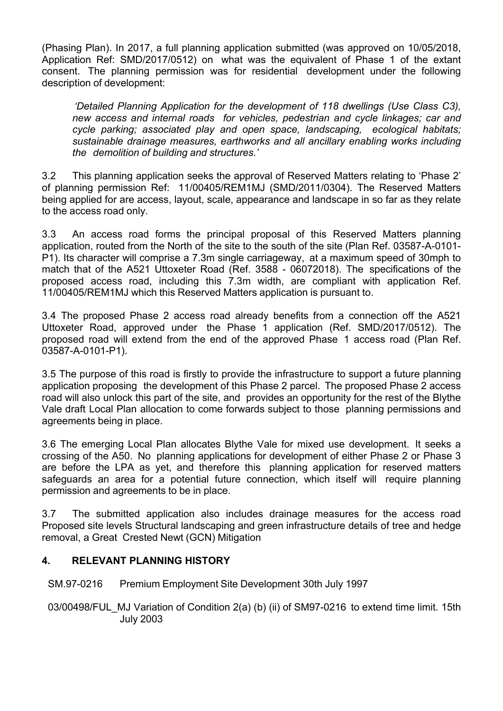(Phasing Plan). In 2017, a full planning application submitted (was approved on 10/05/2018, Application Ref: SMD/2017/0512) on what was the equivalent of Phase 1 of the extant consent. The planning permission was for residential development under the following description of development:

*'Detailed Planning Application for the development of 118 dwellings (Use Class C3), new access and internal roads for vehicles, pedestrian and cycle linkages; car and cycle parking; associated play and open space, landscaping, ecological habitats; sustainable drainage measures, earthworks and all ancillary enabling works including the demolition of building and structures.'*

3.2 This planning application seeks the approval of Reserved Matters relating to 'Phase 2' of planning permission Ref: 11/00405/REM1MJ (SMD/2011/0304). The Reserved Matters being applied for are access, layout, scale, appearance and landscape in so far as they relate to the access road only.

3.3 An access road forms the principal proposal of this Reserved Matters planning application, routed from the North of the site to the south of the site (Plan Ref. 03587-A-0101- P1). Its character will comprise a 7.3m single carriageway, at a maximum speed of 30mph to match that of the A521 Uttoxeter Road (Ref. 3588 - 06072018). The specifications of the proposed access road, including this 7.3m width, are compliant with application Ref. 11/00405/REM1MJ which this Reserved Matters application is pursuant to.

3.4 The proposed Phase 2 access road already benefits from a connection off the A521 Uttoxeter Road, approved under the Phase 1 application (Ref. SMD/2017/0512). The proposed road will extend from the end of the approved Phase 1 access road (Plan Ref. 03587-A-0101-P1).

3.5 The purpose of this road is firstly to provide the infrastructure to support a future planning application proposing the development of this Phase 2 parcel. The proposed Phase 2 access road will also unlock this part of the site, and provides an opportunity for the rest of the Blythe Vale draft Local Plan allocation to come forwards subject to those planning permissions and agreements being in place.

3.6 The emerging Local Plan allocates Blythe Vale for mixed use development. It seeks a crossing of the A50. No planning applications for development of either Phase 2 or Phase 3 are before the LPA as yet, and therefore this planning application for reserved matters safeguards an area for a potential future connection, which itself will require planning permission and agreements to be in place.

3.7 The submitted application also includes drainage measures for the access road Proposed site levels Structural landscaping and green infrastructure details of tree and hedge removal, a Great Crested Newt (GCN) Mitigation

## **4. RELEVANT PLANNING HISTORY**

SM.97-0216 Premium Employment Site Development 30th July 1997

03/00498/FUL MJ Variation of Condition 2(a) (b) (ii) of SM97-0216 to extend time limit. 15th July 2003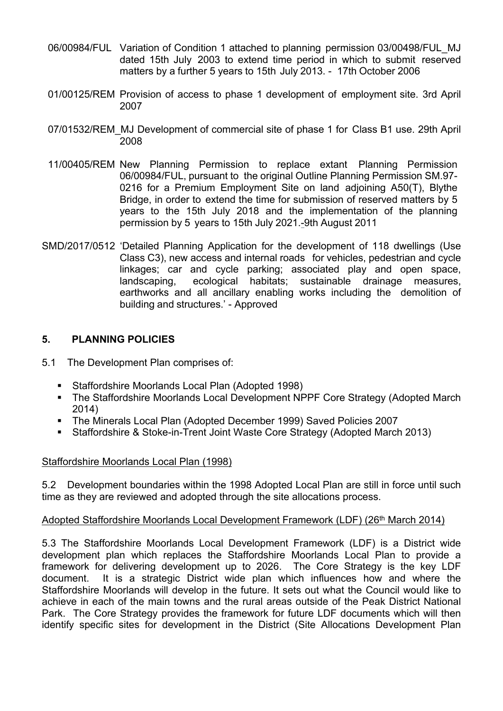- 06/00984/FUL Variation of Condition 1 attached to planning permission 03/00498/FUL\_MJ dated 15th July 2003 to extend time period in which to submit reserved matters by a further 5 years to 15th July 2013. - 17th October 2006
- 01/00125/REM Provision of access to phase 1 development of employment site. 3rd April 2007
- 07/01532/REM\_MJ Development of commercial site of phase 1 for Class B1 use. 29th April 2008
- 11/00405/REM New Planning Permission to replace extant Planning Permission 06/00984/FUL, pursuant to the original Outline Planning Permission SM.97- 0216 for a Premium Employment Site on land adjoining A50(T), Blythe Bridge, in order to extend the time for submission of reserved matters by 5 years to the 15th July 2018 and the implementation of the planning permission by 5 years to 15th July 2021.-9th August 2011
- SMD/2017/0512 'Detailed Planning Application for the development of 118 dwellings (Use Class C3), new access and internal roads for vehicles, pedestrian and cycle linkages; car and cycle parking; associated play and open space, landscaping, ecological habitats; sustainable drainage measures, earthworks and all ancillary enabling works including the demolition of building and structures.' - Approved

## **5. PLANNING POLICIES**

- 5.1 The Development Plan comprises of:
	- Staffordshire Moorlands Local Plan (Adopted 1998)
	- The Staffordshire Moorlands Local Development NPPF Core Strategy (Adopted March 2014)
	- The Minerals Local Plan (Adopted December 1999) Saved Policies 2007
	- Staffordshire & Stoke-in-Trent Joint Waste Core Strategy (Adopted March 2013)

#### Staffordshire Moorlands Local Plan (1998)

5.2 Development boundaries within the 1998 Adopted Local Plan are still in force until such time as they are reviewed and adopted through the site allocations process.

#### Adopted Staffordshire Moorlands Local Development Framework (LDF) (26<sup>th</sup> March 2014)

5.3 The Staffordshire Moorlands Local Development Framework (LDF) is a District wide development plan which replaces the Staffordshire Moorlands Local Plan to provide a framework for delivering development up to 2026. The Core Strategy is the key LDF document. It is a strategic District wide plan which influences how and where the Staffordshire Moorlands will develop in the future. It sets out what the Council would like to achieve in each of the main towns and the rural areas outside of the Peak District National Park. The Core Strategy provides the framework for future LDF documents which will then identify specific sites for development in the District (Site Allocations Development Plan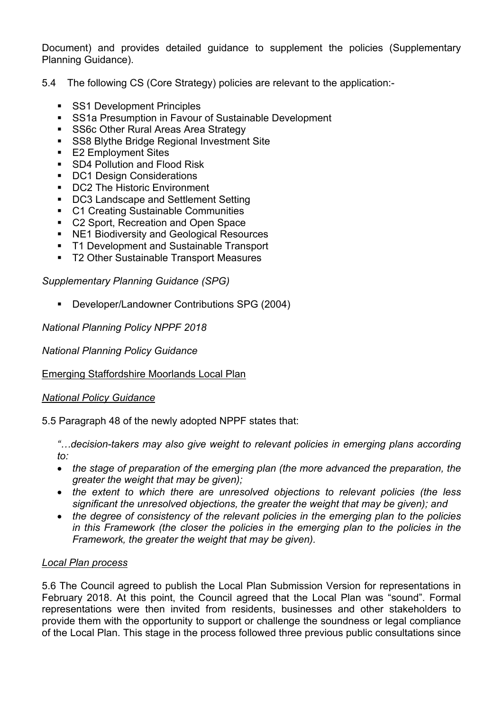Document) and provides detailed guidance to supplement the policies (Supplementary Planning Guidance).

- 5.4 The following CS (Core Strategy) policies are relevant to the application:-
	- **SS1 Development Principles**
	- **SS1a Presumption in Favour of Sustainable Development**
	- **SS6c Other Rural Areas Area Strategy**
	- **SS8 Blythe Bridge Regional Investment Site**
	- E2 Employment Sites
	- SD4 Pollution and Flood Risk
	- DC1 Design Considerations
	- DC2 The Historic Environment
	- DC3 Landscape and Settlement Setting
	- C1 Creating Sustainable Communities
	- C2 Sport, Recreation and Open Space
	- NE1 Biodiversity and Geological Resources
	- T1 Development and Sustainable Transport
	- T2 Other Sustainable Transport Measures

*Supplementary Planning Guidance (SPG)*

Developer/Landowner Contributions SPG (2004)

*National Planning Policy NPPF 2018*

*National Planning Policy Guidance*

## Emerging Staffordshire Moorlands Local Plan

## *National Policy Guidance*

5.5 Paragraph 48 of the newly adopted NPPF states that:

*"…decision-takers may also give weight to relevant policies in emerging plans according to:*

- *the stage of preparation of the emerging plan (the more advanced the preparation, the greater the weight that may be given);*
- *the extent to which there are unresolved objections to relevant policies (the less significant the unresolved objections, the greater the weight that may be given); and*
- *the degree of consistency of the relevant policies in the emerging plan to the policies in this Framework (the closer the policies in the emerging plan to the policies in the Framework, the greater the weight that may be given).*

## *Local Plan process*

5.6 The Council agreed to publish the Local Plan Submission Version for representations in February 2018. At this point, the Council agreed that the Local Plan was "sound". Formal representations were then invited from residents, businesses and other stakeholders to provide them with the opportunity to support or challenge the soundness or legal compliance of the Local Plan. This stage in the process followed three previous public consultations since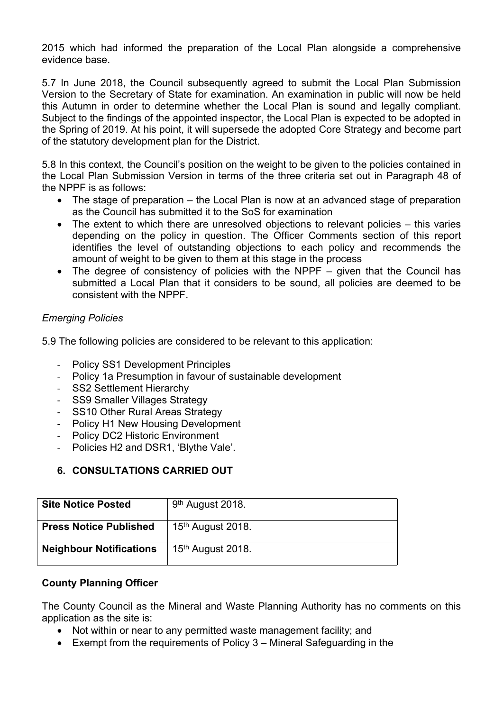2015 which had informed the preparation of the Local Plan alongside a comprehensive evidence base.

5.7 In June 2018, the Council subsequently agreed to submit the Local Plan Submission Version to the Secretary of State for examination. An examination in public will now be held this Autumn in order to determine whether the Local Plan is sound and legally compliant. Subject to the findings of the appointed inspector, the Local Plan is expected to be adopted in the Spring of 2019. At his point, it will supersede the adopted Core Strategy and become part of the statutory development plan for the District.

5.8 In this context, the Council's position on the weight to be given to the policies contained in the Local Plan Submission Version in terms of the three criteria set out in Paragraph 48 of the NPPF is as follows:

- The stage of preparation the Local Plan is now at an advanced stage of preparation as the Council has submitted it to the SoS for examination
- The extent to which there are unresolved objections to relevant policies this varies depending on the policy in question. The Officer Comments section of this report identifies the level of outstanding objections to each policy and recommends the amount of weight to be given to them at this stage in the process
- The degree of consistency of policies with the NPPF given that the Council has submitted a Local Plan that it considers to be sound, all policies are deemed to be consistent with the NPPF.

### *Emerging Policies*

5.9 The following policies are considered to be relevant to this application:

- Policy SS1 Development Principles
- Policy 1a Presumption in favour of sustainable development
- SS2 Settlement Hierarchy
- SS9 Smaller Villages Strategy
- SS10 Other Rural Areas Strategy
- Policy H1 New Housing Development
- Policy DC2 Historic Environment
- Policies H2 and DSR1, 'Blythe Vale'.

# **6. CONSULTATIONS CARRIED OUT**

| <b>Site Notice Posted</b>      | 9 <sup>th</sup> August 2018.  |
|--------------------------------|-------------------------------|
| <b>Press Notice Published</b>  | 15 <sup>th</sup> August 2018. |
| <b>Neighbour Notifications</b> | 15 <sup>th</sup> August 2018. |

#### **County Planning Officer**

The County Council as the Mineral and Waste Planning Authority has no comments on this application as the site is:

- Not within or near to any permitted waste management facility; and
- Exempt from the requirements of Policy 3 Mineral Safeguarding in the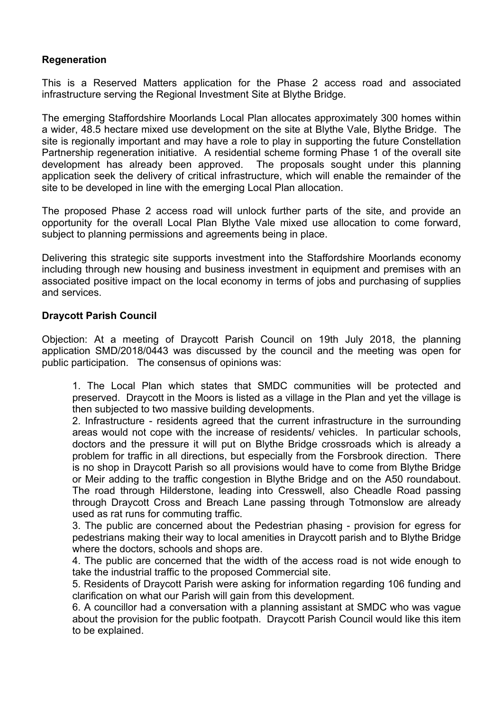### **Regeneration**

This is a Reserved Matters application for the Phase 2 access road and associated infrastructure serving the Regional Investment Site at Blythe Bridge.

The emerging Staffordshire Moorlands Local Plan allocates approximately 300 homes within a wider, 48.5 hectare mixed use development on the site at Blythe Vale, Blythe Bridge. The site is regionally important and may have a role to play in supporting the future Constellation Partnership regeneration initiative. A residential scheme forming Phase 1 of the overall site development has already been approved. The proposals sought under this planning application seek the delivery of critical infrastructure, which will enable the remainder of the site to be developed in line with the emerging Local Plan allocation.

The proposed Phase 2 access road will unlock further parts of the site, and provide an opportunity for the overall Local Plan Blythe Vale mixed use allocation to come forward, subject to planning permissions and agreements being in place.

Delivering this strategic site supports investment into the Staffordshire Moorlands economy including through new housing and business investment in equipment and premises with an associated positive impact on the local economy in terms of jobs and purchasing of supplies and services.

#### **Draycott Parish Council**

Objection: At a meeting of Draycott Parish Council on 19th July 2018, the planning application SMD/2018/0443 was discussed by the council and the meeting was open for public participation. The consensus of opinions was:

1. The Local Plan which states that SMDC communities will be protected and preserved. Draycott in the Moors is listed as a village in the Plan and yet the village is then subjected to two massive building developments.

2. Infrastructure - residents agreed that the current infrastructure in the surrounding areas would not cope with the increase of residents/ vehicles. In particular schools, doctors and the pressure it will put on Blythe Bridge crossroads which is already a problem for traffic in all directions, but especially from the Forsbrook direction. There is no shop in Draycott Parish so all provisions would have to come from Blythe Bridge or Meir adding to the traffic congestion in Blythe Bridge and on the A50 roundabout. The road through Hilderstone, leading into Cresswell, also Cheadle Road passing through Draycott Cross and Breach Lane passing through Totmonslow are already used as rat runs for commuting traffic.

3. The public are concerned about the Pedestrian phasing - provision for egress for pedestrians making their way to local amenities in Draycott parish and to Blythe Bridge where the doctors, schools and shops are.

4. The public are concerned that the width of the access road is not wide enough to take the industrial traffic to the proposed Commercial site.

5. Residents of Draycott Parish were asking for information regarding 106 funding and clarification on what our Parish will gain from this development.

6. A councillor had a conversation with a planning assistant at SMDC who was vague about the provision for the public footpath. Draycott Parish Council would like this item to be explained.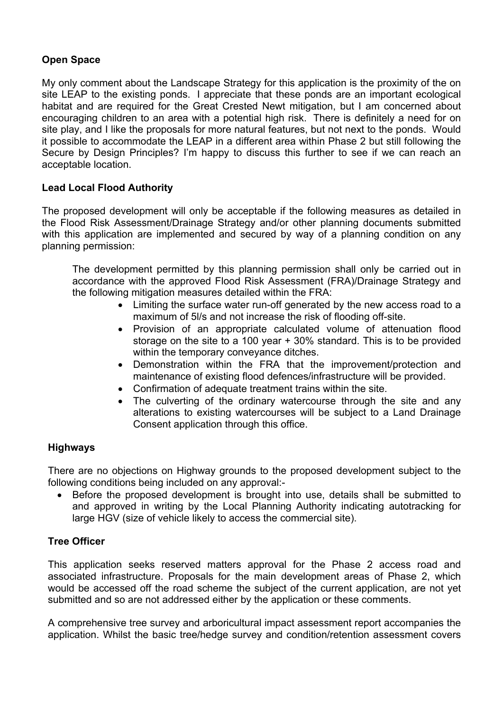## **Open Space**

My only comment about the Landscape Strategy for this application is the proximity of the on site LEAP to the existing ponds. I appreciate that these ponds are an important ecological habitat and are required for the Great Crested Newt mitigation, but I am concerned about encouraging children to an area with a potential high risk. There is definitely a need for on site play, and I like the proposals for more natural features, but not next to the ponds. Would it possible to accommodate the LEAP in a different area within Phase 2 but still following the Secure by Design Principles? I'm happy to discuss this further to see if we can reach an acceptable location.

# **Lead Local Flood Authority**

The proposed development will only be acceptable if the following measures as detailed in the Flood Risk Assessment/Drainage Strategy and/or other planning documents submitted with this application are implemented and secured by way of a planning condition on any planning permission:

The development permitted by this planning permission shall only be carried out in accordance with the approved Flood Risk Assessment (FRA)/Drainage Strategy and the following mitigation measures detailed within the FRA:

- Limiting the surface water run-off generated by the new access road to a maximum of 5l/s and not increase the risk of flooding off-site.
- Provision of an appropriate calculated volume of attenuation flood storage on the site to a 100 year + 30% standard. This is to be provided within the temporary conveyance ditches.
- Demonstration within the FRA that the improvement/protection and maintenance of existing flood defences/infrastructure will be provided.
- Confirmation of adequate treatment trains within the site.
- The culverting of the ordinary watercourse through the site and any alterations to existing watercourses will be subject to a Land Drainage Consent application through this office.

## **Highways**

There are no objections on Highway grounds to the proposed development subject to the following conditions being included on any approval:-

 Before the proposed development is brought into use, details shall be submitted to and approved in writing by the Local Planning Authority indicating autotracking for large HGV (size of vehicle likely to access the commercial site).

## **Tree Officer**

This application seeks reserved matters approval for the Phase 2 access road and associated infrastructure. Proposals for the main development areas of Phase 2, which would be accessed off the road scheme the subject of the current application, are not yet submitted and so are not addressed either by the application or these comments.

A comprehensive tree survey and arboricultural impact assessment report accompanies the application. Whilst the basic tree/hedge survey and condition/retention assessment covers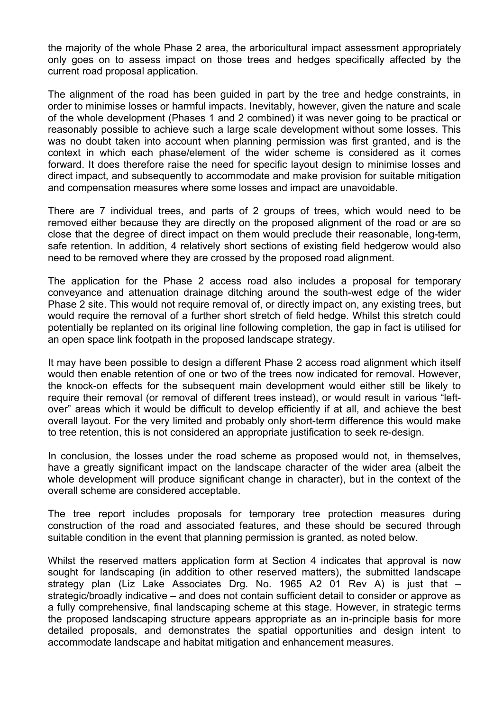the majority of the whole Phase 2 area, the arboricultural impact assessment appropriately only goes on to assess impact on those trees and hedges specifically affected by the current road proposal application.

The alignment of the road has been guided in part by the tree and hedge constraints, in order to minimise losses or harmful impacts. Inevitably, however, given the nature and scale of the whole development (Phases 1 and 2 combined) it was never going to be practical or reasonably possible to achieve such a large scale development without some losses. This was no doubt taken into account when planning permission was first granted, and is the context in which each phase/element of the wider scheme is considered as it comes forward. It does therefore raise the need for specific layout design to minimise losses and direct impact, and subsequently to accommodate and make provision for suitable mitigation and compensation measures where some losses and impact are unavoidable.

There are 7 individual trees, and parts of 2 groups of trees, which would need to be removed either because they are directly on the proposed alignment of the road or are so close that the degree of direct impact on them would preclude their reasonable, long-term, safe retention. In addition, 4 relatively short sections of existing field hedgerow would also need to be removed where they are crossed by the proposed road alignment.

The application for the Phase 2 access road also includes a proposal for temporary conveyance and attenuation drainage ditching around the south-west edge of the wider Phase 2 site. This would not require removal of, or directly impact on, any existing trees, but would require the removal of a further short stretch of field hedge. Whilst this stretch could potentially be replanted on its original line following completion, the gap in fact is utilised for an open space link footpath in the proposed landscape strategy.

It may have been possible to design a different Phase 2 access road alignment which itself would then enable retention of one or two of the trees now indicated for removal. However, the knock-on effects for the subsequent main development would either still be likely to require their removal (or removal of different trees instead), or would result in various "leftover" areas which it would be difficult to develop efficiently if at all, and achieve the best overall layout. For the very limited and probably only short-term difference this would make to tree retention, this is not considered an appropriate justification to seek re-design.

In conclusion, the losses under the road scheme as proposed would not, in themselves, have a greatly significant impact on the landscape character of the wider area (albeit the whole development will produce significant change in character), but in the context of the overall scheme are considered acceptable.

The tree report includes proposals for temporary tree protection measures during construction of the road and associated features, and these should be secured through suitable condition in the event that planning permission is granted, as noted below.

Whilst the reserved matters application form at Section 4 indicates that approval is now sought for landscaping (in addition to other reserved matters), the submitted landscape strategy plan (Liz Lake Associates Drg. No. 1965 A2 01 Rev A) is just that – strategic/broadly indicative – and does not contain sufficient detail to consider or approve as a fully comprehensive, final landscaping scheme at this stage. However, in strategic terms the proposed landscaping structure appears appropriate as an in-principle basis for more detailed proposals, and demonstrates the spatial opportunities and design intent to accommodate landscape and habitat mitigation and enhancement measures.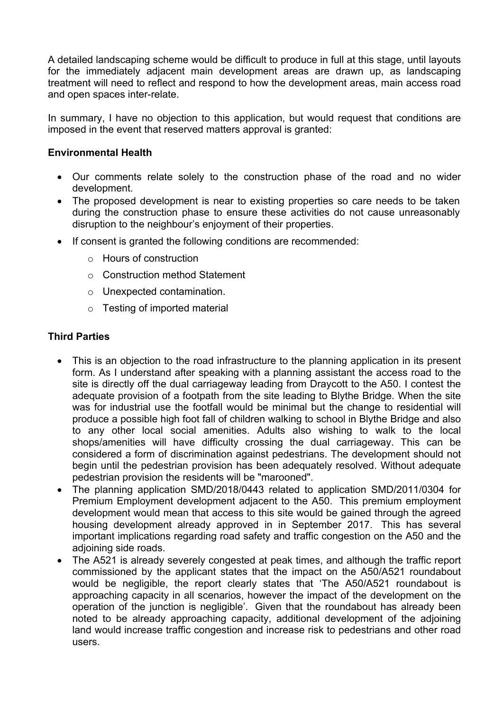A detailed landscaping scheme would be difficult to produce in full at this stage, until layouts for the immediately adjacent main development areas are drawn up, as landscaping treatment will need to reflect and respond to how the development areas, main access road and open spaces inter-relate.

In summary, I have no objection to this application, but would request that conditions are imposed in the event that reserved matters approval is granted:

#### **Environmental Health**

- Our comments relate solely to the construction phase of the road and no wider development.
- The proposed development is near to existing properties so care needs to be taken during the construction phase to ensure these activities do not cause unreasonably disruption to the neighbour's enjoyment of their properties.
- If consent is granted the following conditions are recommended:
	- o Hours of construction
	- o Construction method Statement
	- o Unexpected contamination.
	- o Testing of imported material

### **Third Parties**

- This is an objection to the road infrastructure to the planning application in its present form. As I understand after speaking with a planning assistant the access road to the site is directly off the dual carriageway leading from Draycott to the A50. I contest the adequate provision of a footpath from the site leading to Blythe Bridge. When the site was for industrial use the footfall would be minimal but the change to residential will produce a possible high foot fall of children walking to school in Blythe Bridge and also to any other local social amenities. Adults also wishing to walk to the local shops/amenities will have difficulty crossing the dual carriageway. This can be considered a form of discrimination against pedestrians. The development should not begin until the pedestrian provision has been adequately resolved. Without adequate pedestrian provision the residents will be "marooned".
- The planning application SMD/2018/0443 related to application SMD/2011/0304 for Premium Employment development adjacent to the A50. This premium employment development would mean that access to this site would be gained through the agreed housing development already approved in in September 2017. This has several important implications regarding road safety and traffic congestion on the A50 and the adjoining side roads.
- The A521 is already severely congested at peak times, and although the traffic report commissioned by the applicant states that the impact on the A50/A521 roundabout would be negligible, the report clearly states that 'The A50/A521 roundabout is approaching capacity in all scenarios, however the impact of the development on the operation of the junction is negligible'. Given that the roundabout has already been noted to be already approaching capacity, additional development of the adjoining land would increase traffic congestion and increase risk to pedestrians and other road users.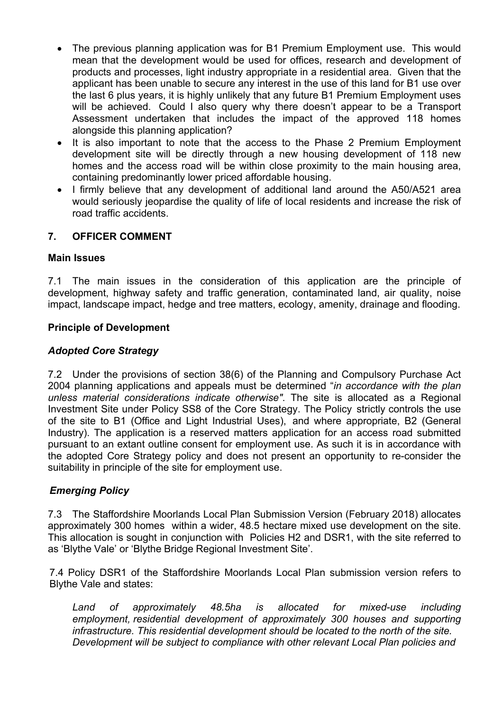- The previous planning application was for B1 Premium Employment use. This would mean that the development would be used for offices, research and development of products and processes, light industry appropriate in a residential area. Given that the applicant has been unable to secure any interest in the use of this land for B1 use over the last 6 plus years, it is highly unlikely that any future B1 Premium Employment uses will be achieved. Could I also query why there doesn't appear to be a Transport Assessment undertaken that includes the impact of the approved 118 homes alongside this planning application?
- It is also important to note that the access to the Phase 2 Premium Employment development site will be directly through a new housing development of 118 new homes and the access road will be within close proximity to the main housing area, containing predominantly lower priced affordable housing.
- I firmly believe that any development of additional land around the A50/A521 area would seriously jeopardise the quality of life of local residents and increase the risk of road traffic accidents.

### **7. OFFICER COMMENT**

#### **Main Issues**

7.1 The main issues in the consideration of this application are the principle of development, highway safety and traffic generation, contaminated land, air quality, noise impact, landscape impact, hedge and tree matters, ecology, amenity, drainage and flooding.

### **Principle of Development**

### *Adopted Core Strategy*

7.2 Under the provisions of section 38(6) of the Planning and Compulsory Purchase Act 2004 planning applications and appeals must be determined "*in accordance with the plan unless material considerations indicate otherwise"*. The site is allocated as a Regional Investment Site under Policy SS8 of the Core Strategy. The Policy strictly controls the use of the site to B1 (Office and Light Industrial Uses), and where appropriate, B2 (General Industry). The application is a reserved matters application for an access road submitted pursuant to an extant outline consent for employment use. As such it is in accordance with the adopted Core Strategy policy and does not present an opportunity to re-consider the suitability in principle of the site for employment use.

## *Emerging Policy*

7.3 The Staffordshire Moorlands Local Plan Submission Version (February 2018) allocates approximately 300 homes within a wider, 48.5 hectare mixed use development on the site. This allocation is sought in conjunction with Policies H2 and DSR1, with the site referred to as 'Blythe Vale' or 'Blythe Bridge Regional Investment Site'.

7.4 Policy DSR1 of the Staffordshire Moorlands Local Plan submission version refers to Blythe Vale and states:

*Land of approximately 48.5ha is allocated for mixed-use including employment, residential development of approximately 300 houses and supporting infrastructure. This residential development should be located to the north of the site. Development will be subject to compliance with other relevant Local Plan policies and*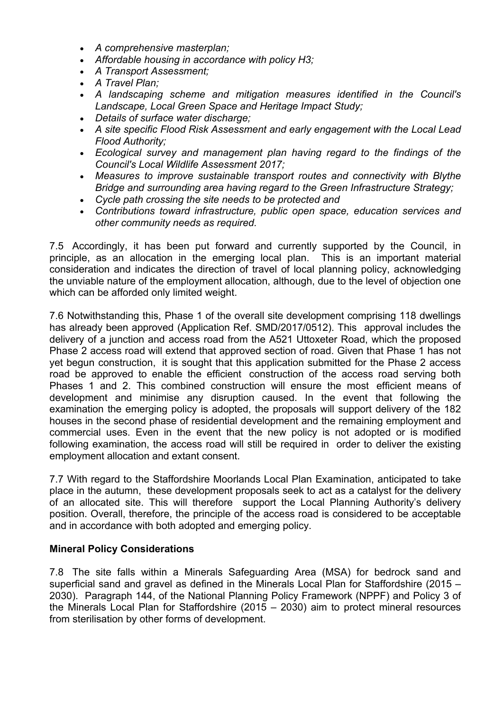- *A comprehensive masterplan;*
- *Affordable housing in accordance with policy H3;*
- *A Transport Assessment;*
- *A Travel Plan;*
- *A landscaping scheme and mitigation measures identified in the Council's Landscape, Local Green Space and Heritage Impact Study;*
- *Details of surface water discharge;*
- *A site specific Flood Risk Assessment and early engagement with the Local Lead Flood Authority;*
- *Ecological survey and management plan having regard to the findings of the Council's Local Wildlife Assessment 2017;*
- *Measures to improve sustainable transport routes and connectivity with Blythe Bridge and surrounding area having regard to the Green Infrastructure Strategy;*
- *Cycle path crossing the site needs to be protected and*
- *Contributions toward infrastructure, public open space, education services and other community needs as required.*

7.5 Accordingly, it has been put forward and currently supported by the Council, in principle, as an allocation in the emerging local plan. This is an important material consideration and indicates the direction of travel of local planning policy, acknowledging the unviable nature of the employment allocation, although, due to the level of objection one which can be afforded only limited weight.

7.6 Notwithstanding this, Phase 1 of the overall site development comprising 118 dwellings has already been approved (Application Ref. SMD/2017/0512). This approval includes the delivery of a junction and access road from the A521 Uttoxeter Road, which the proposed Phase 2 access road will extend that approved section of road. Given that Phase 1 has not yet begun construction, it is sought that this application submitted for the Phase 2 access road be approved to enable the efficient construction of the access road serving both Phases 1 and 2. This combined construction will ensure the most efficient means of development and minimise any disruption caused. In the event that following the examination the emerging policy is adopted, the proposals will support delivery of the 182 houses in the second phase of residential development and the remaining employment and commercial uses. Even in the event that the new policy is not adopted or is modified following examination, the access road will still be required in order to deliver the existing employment allocation and extant consent.

7.7 With regard to the Staffordshire Moorlands Local Plan Examination, anticipated to take place in the autumn, these development proposals seek to act as a catalyst for the delivery of an allocated site. This will therefore support the Local Planning Authority's delivery position. Overall, therefore, the principle of the access road is considered to be acceptable and in accordance with both adopted and emerging policy.

#### **Mineral Policy Considerations**

7.8 The site falls within a Minerals Safeguarding Area (MSA) for bedrock sand and superficial sand and gravel as defined in the Minerals Local Plan for Staffordshire (2015 – 2030). Paragraph 144, of the National Planning Policy Framework (NPPF) and Policy 3 of the Minerals Local Plan for Staffordshire (2015 – 2030) aim to protect mineral resources from sterilisation by other forms of development.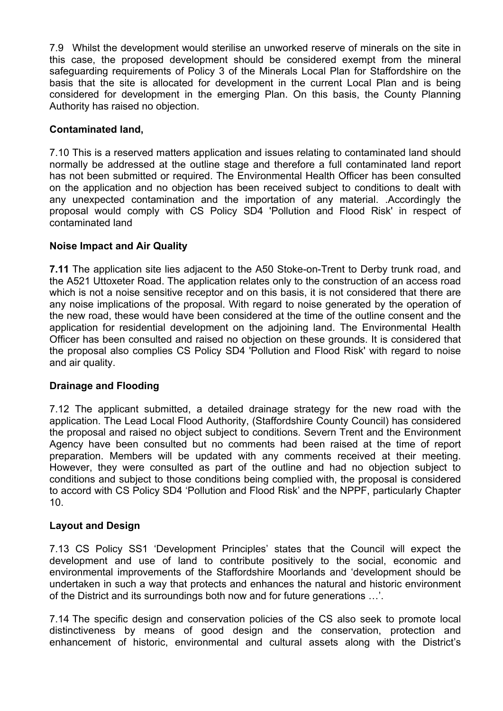7.9 Whilst the development would sterilise an unworked reserve of minerals on the site in this case, the proposed development should be considered exempt from the mineral safeguarding requirements of Policy 3 of the Minerals Local Plan for Staffordshire on the basis that the site is allocated for development in the current Local Plan and is being considered for development in the emerging Plan. On this basis, the County Planning Authority has raised no objection.

# **Contaminated land,**

7.10 This is a reserved matters application and issues relating to contaminated land should normally be addressed at the outline stage and therefore a full contaminated land report has not been submitted or required. The Environmental Health Officer has been consulted on the application and no objection has been received subject to conditions to dealt with any unexpected contamination and the importation of any material. .Accordingly the proposal would comply with CS Policy SD4 'Pollution and Flood Risk' in respect of contaminated land

## **Noise Impact and Air Quality**

**7.11** The application site lies adjacent to the A50 Stoke-on-Trent to Derby trunk road, and the A521 Uttoxeter Road. The application relates only to the construction of an access road which is not a noise sensitive receptor and on this basis, it is not considered that there are any noise implications of the proposal. With regard to noise generated by the operation of the new road, these would have been considered at the time of the outline consent and the application for residential development on the adjoining land. The Environmental Health Officer has been consulted and raised no objection on these grounds. It is considered that the proposal also complies CS Policy SD4 'Pollution and Flood Risk' with regard to noise and air quality.

## **Drainage and Flooding**

7.12 The applicant submitted, a detailed drainage strategy for the new road with the application. The Lead Local Flood Authority, (Staffordshire County Council) has considered the proposal and raised no object subject to conditions. Severn Trent and the Environment Agency have been consulted but no comments had been raised at the time of report preparation. Members will be updated with any comments received at their meeting. However, they were consulted as part of the outline and had no objection subject to conditions and subject to those conditions being complied with, the proposal is considered to accord with CS Policy SD4 'Pollution and Flood Risk' and the NPPF, particularly Chapter 10.

## **Layout and Design**

7.13 CS Policy SS1 'Development Principles' states that the Council will expect the development and use of land to contribute positively to the social, economic and environmental improvements of the Staffordshire Moorlands and 'development should be undertaken in such a way that protects and enhances the natural and historic environment of the District and its surroundings both now and for future generations …'.

7.14 The specific design and conservation policies of the CS also seek to promote local distinctiveness by means of good design and the conservation, protection and enhancement of historic, environmental and cultural assets along with the District's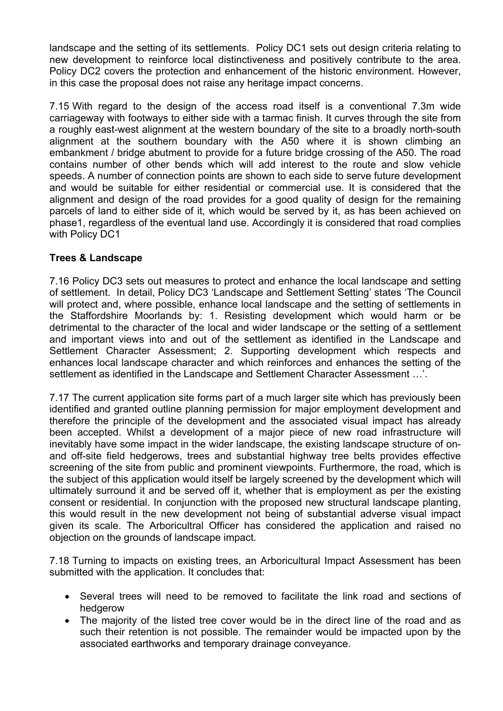landscape and the setting of its settlements. Policy DC1 sets out design criteria relating to new development to reinforce local distinctiveness and positively contribute to the area. Policy DC2 covers the protection and enhancement of the historic environment. However, in this case the proposal does not raise any heritage impact concerns.

7.15 With regard to the design of the access road itself is a conventional 7.3m wide carriageway with footways to either side with a tarmac finish. It curves through the site from a roughly east-west alignment at the western boundary of the site to a broadly north-south alignment at the southern boundary with the A50 where it is shown climbing an embankment / bridge abutment to provide for a future bridge crossing of the A50. The road contains number of other bends which will add interest to the route and slow vehicle speeds. A number of connection points are shown to each side to serve future development and would be suitable for either residential or commercial use. It is considered that the alignment and design of the road provides for a good quality of design for the remaining parcels of land to either side of it, which would be served by it, as has been achieved on phase1, regardless of the eventual land use. Accordingly it is considered that road complies with Policy DC1

### **Trees & Landscape**

7.16 Policy DC3 sets out measures to protect and enhance the local landscape and setting of settlement. In detail, Policy DC3 'Landscape and Settlement Setting' states 'The Council will protect and, where possible, enhance local landscape and the setting of settlements in the Staffordshire Moorlands by: 1. Resisting development which would harm or be detrimental to the character of the local and wider landscape or the setting of a settlement and important views into and out of the settlement as identified in the Landscape and Settlement Character Assessment; 2. Supporting development which respects and enhances local landscape character and which reinforces and enhances the setting of the settlement as identified in the Landscape and Settlement Character Assessment …'.

7.17 The current application site forms part of a much larger site which has previously been identified and granted outline planning permission for major employment development and therefore the principle of the development and the associated visual impact has already been accepted. Whilst a development of a major piece of new road infrastructure will inevitably have some impact in the wider landscape, the existing landscape structure of onand off-site field hedgerows, trees and substantial highway tree belts provides effective screening of the site from public and prominent viewpoints. Furthermore, the road, which is the subject of this application would itself be largely screened by the development which will ultimately surround it and be served off it, whether that is employment as per the existing consent or residential. In conjunction with the proposed new structural landscape planting, this would result in the new development not being of substantial adverse visual impact given its scale. The Arboricultral Officer has considered the application and raised no objection on the grounds of landscape impact.

7.18 Turning to impacts on existing trees, an Arboricultural Impact Assessment has been submitted with the application. It concludes that:

- Several trees will need to be removed to facilitate the link road and sections of hedgerow
- The majority of the listed tree cover would be in the direct line of the road and as such their retention is not possible. The remainder would be impacted upon by the associated earthworks and temporary drainage conveyance.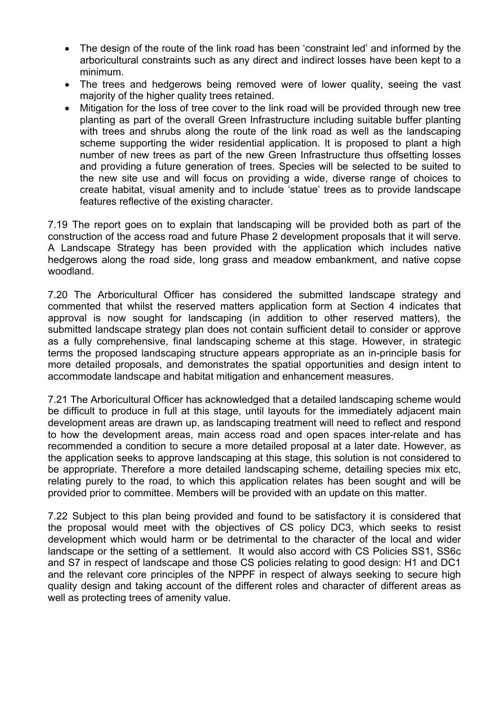- The design of the route of the link road has been 'constraint led' and informed by the arboricultural constraints such as any direct and indirect losses have been kept to a minimum.
- The trees and hedgerows being removed were of lower quality, seeing the vast majority of the higher quality trees retained.
- Mitigation for the loss of tree cover to the link road will be provided through new tree planting as part of the overall Green Infrastructure including suitable buffer planting with trees and shrubs along the route of the link road as well as the landscaping scheme supporting the wider residential application. It is proposed to plant a high number of new trees as part of the new Green Infrastructure thus offsetting losses and providing a future generation of trees. Species will be selected to be suited to the new site use and will focus on providing a wide, diverse range of choices to create habitat, visual amenity and to include 'statue' trees as to provide landscape features reflective of the existing character.

7.19 The report goes on to explain that landscaping will be provided both as part of the construction of the access road and future Phase 2 development proposals that it will serve. A Landscape Strategy has been provided with the application which includes native hedgerows along the road side, long grass and meadow embankment, and native copse woodland.

7.20 The Arboricultural Officer has considered the submitted landscape strategy and commented that whilst the reserved matters application form at Section 4 indicates that approval is now sought for landscaping (in addition to other reserved matters), the submitted landscape strategy plan does not contain sufficient detail to consider or approve as a fully comprehensive, final landscaping scheme at this stage. However, in strategic terms the proposed landscaping structure appears appropriate as an in-principle basis for more detailed proposals, and demonstrates the spatial opportunities and design intent to accommodate landscape and habitat mitigation and enhancement measures.

7.21 The Arboricultural Officer has acknowledged that a detailed landscaping scheme would be difficult to produce in full at this stage, until layouts for the immediately adjacent main development areas are drawn up, as landscaping treatment will need to reflect and respond to how the development areas, main access road and open spaces inter-relate and has recommended a condition to secure a more detailed proposal at a later date. However, as the application seeks to approve landscaping at this stage, this solution is not considered to be appropriate. Therefore a more detailed landscaping scheme, detailing species mix etc, relating purely to the road, to which this application relates has been sought and will be provided prior to committee. Members will be provided with an update on this matter.

7.22 Subject to this plan being provided and found to be satisfactory it is considered that the proposal would meet with the objectives of CS policy DC3, which seeks to resist development which would harm or be detrimental to the character of the local and wider landscape or the setting of a settlement. It would also accord with CS Policies SS1, SS6c and S7 in respect of landscape and those CS policies relating to good design: H1 and DC1 and the relevant core principles of the NPPF in respect of always seeking to secure high quality design and taking account of the different roles and character of different areas as well as protecting trees of amenity value.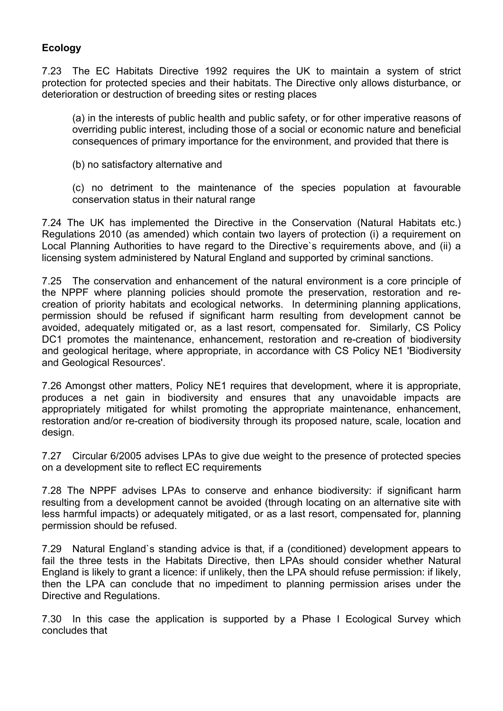# **Ecology**

7.23 The EC Habitats Directive 1992 requires the UK to maintain a system of strict protection for protected species and their habitats. The Directive only allows disturbance, or deterioration or destruction of breeding sites or resting places

(a) in the interests of public health and public safety, or for other imperative reasons of overriding public interest, including those of a social or economic nature and beneficial consequences of primary importance for the environment, and provided that there is

(b) no satisfactory alternative and

(c) no detriment to the maintenance of the species population at favourable conservation status in their natural range

7.24 The UK has implemented the Directive in the Conservation (Natural Habitats etc.) Regulations 2010 (as amended) which contain two layers of protection (i) a requirement on Local Planning Authorities to have regard to the Directive`s requirements above, and (ii) a licensing system administered by Natural England and supported by criminal sanctions.

7.25 The conservation and enhancement of the natural environment is a core principle of the NPPF where planning policies should promote the preservation, restoration and recreation of priority habitats and ecological networks. In determining planning applications, permission should be refused if significant harm resulting from development cannot be avoided, adequately mitigated or, as a last resort, compensated for. Similarly, CS Policy DC1 promotes the maintenance, enhancement, restoration and re-creation of biodiversity and geological heritage, where appropriate, in accordance with CS Policy NE1 'Biodiversity and Geological Resources'.

7.26 Amongst other matters, Policy NE1 requires that development, where it is appropriate, produces a net gain in biodiversity and ensures that any unavoidable impacts are appropriately mitigated for whilst promoting the appropriate maintenance, enhancement, restoration and/or re-creation of biodiversity through its proposed nature, scale, location and design.

7.27 Circular 6/2005 advises LPAs to give due weight to the presence of protected species on a development site to reflect EC requirements

7.28 The NPPF advises LPAs to conserve and enhance biodiversity: if significant harm resulting from a development cannot be avoided (through locating on an alternative site with less harmful impacts) or adequately mitigated, or as a last resort, compensated for, planning permission should be refused.

7.29 Natural England`s standing advice is that, if a (conditioned) development appears to fail the three tests in the Habitats Directive, then LPAs should consider whether Natural England is likely to grant a licence: if unlikely, then the LPA should refuse permission: if likely, then the LPA can conclude that no impediment to planning permission arises under the Directive and Regulations.

7.30 In this case the application is supported by a Phase I Ecological Survey which concludes that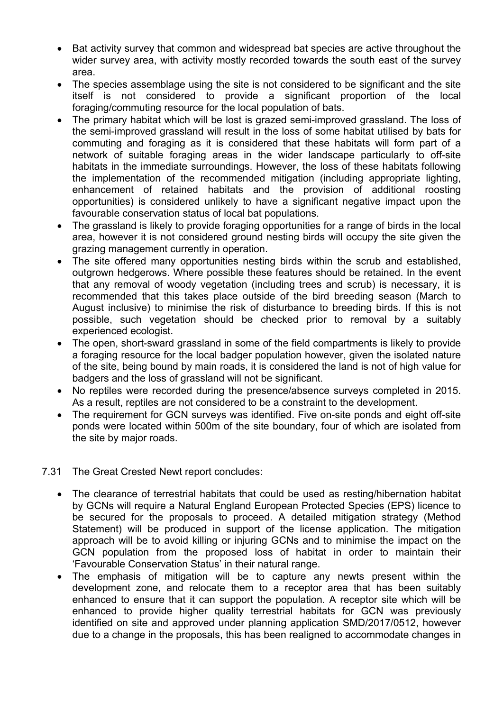- Bat activity survey that common and widespread bat species are active throughout the wider survey area, with activity mostly recorded towards the south east of the survey area.
- The species assemblage using the site is not considered to be significant and the site itself is not considered to provide a significant proportion of the local foraging/commuting resource for the local population of bats.
- The primary habitat which will be lost is grazed semi-improved grassland. The loss of the semi-improved grassland will result in the loss of some habitat utilised by bats for commuting and foraging as it is considered that these habitats will form part of a network of suitable foraging areas in the wider landscape particularly to off-site habitats in the immediate surroundings. However, the loss of these habitats following the implementation of the recommended mitigation (including appropriate lighting, enhancement of retained habitats and the provision of additional roosting opportunities) is considered unlikely to have a significant negative impact upon the favourable conservation status of local bat populations.
- The grassland is likely to provide foraging opportunities for a range of birds in the local area, however it is not considered ground nesting birds will occupy the site given the grazing management currently in operation.
- The site offered many opportunities nesting birds within the scrub and established, outgrown hedgerows. Where possible these features should be retained. In the event that any removal of woody vegetation (including trees and scrub) is necessary, it is recommended that this takes place outside of the bird breeding season (March to August inclusive) to minimise the risk of disturbance to breeding birds. If this is not possible, such vegetation should be checked prior to removal by a suitably experienced ecologist.
- The open, short-sward grassland in some of the field compartments is likely to provide a foraging resource for the local badger population however, given the isolated nature of the site, being bound by main roads, it is considered the land is not of high value for badgers and the loss of grassland will not be significant.
- No reptiles were recorded during the presence/absence surveys completed in 2015. As a result, reptiles are not considered to be a constraint to the development.
- The requirement for GCN surveys was identified. Five on-site ponds and eight off-site ponds were located within 500m of the site boundary, four of which are isolated from the site by major roads.

#### 7.31 The Great Crested Newt report concludes:

- The clearance of terrestrial habitats that could be used as resting/hibernation habitat by GCNs will require a Natural England European Protected Species (EPS) licence to be secured for the proposals to proceed. A detailed mitigation strategy (Method Statement) will be produced in support of the license application. The mitigation approach will be to avoid killing or injuring GCNs and to minimise the impact on the GCN population from the proposed loss of habitat in order to maintain their 'Favourable Conservation Status' in their natural range.
- The emphasis of mitigation will be to capture any newts present within the development zone, and relocate them to a receptor area that has been suitably enhanced to ensure that it can support the population. A receptor site which will be enhanced to provide higher quality terrestrial habitats for GCN was previously identified on site and approved under planning application SMD/2017/0512, however due to a change in the proposals, this has been realigned to accommodate changes in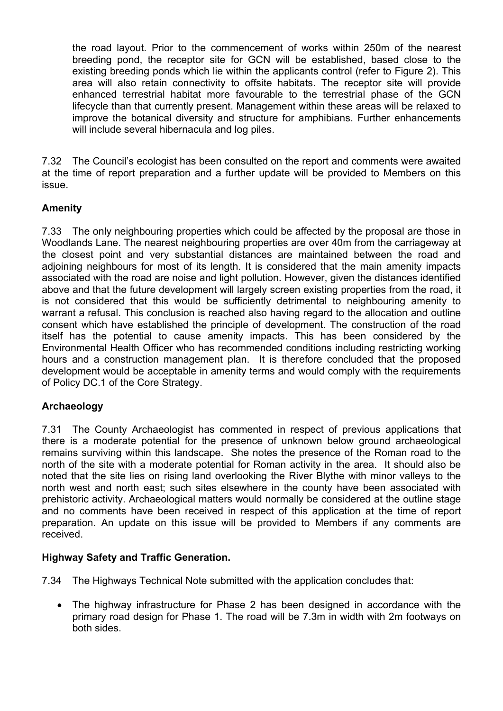the road layout. Prior to the commencement of works within 250m of the nearest breeding pond, the receptor site for GCN will be established, based close to the existing breeding ponds which lie within the applicants control (refer to Figure 2). This area will also retain connectivity to offsite habitats. The receptor site will provide enhanced terrestrial habitat more favourable to the terrestrial phase of the GCN lifecycle than that currently present. Management within these areas will be relaxed to improve the botanical diversity and structure for amphibians. Further enhancements will include several hibernacula and log piles.

7.32 The Council's ecologist has been consulted on the report and comments were awaited at the time of report preparation and a further update will be provided to Members on this issue.

# **Amenity**

7.33 The only neighbouring properties which could be affected by the proposal are those in Woodlands Lane. The nearest neighbouring properties are over 40m from the carriageway at the closest point and very substantial distances are maintained between the road and adjoining neighbours for most of its length. It is considered that the main amenity impacts associated with the road are noise and light pollution. However, given the distances identified above and that the future development will largely screen existing properties from the road, it is not considered that this would be sufficiently detrimental to neighbouring amenity to warrant a refusal. This conclusion is reached also having regard to the allocation and outline consent which have established the principle of development. The construction of the road itself has the potential to cause amenity impacts. This has been considered by the Environmental Health Officer who has recommended conditions including restricting working hours and a construction management plan. It is therefore concluded that the proposed development would be acceptable in amenity terms and would comply with the requirements of Policy DC.1 of the Core Strategy.

## **Archaeology**

7.31 The County Archaeologist has commented in respect of previous applications that there is a moderate potential for the presence of unknown below ground archaeological remains surviving within this landscape. She notes the presence of the Roman road to the north of the site with a moderate potential for Roman activity in the area. It should also be noted that the site lies on rising land overlooking the River Blythe with minor valleys to the north west and north east; such sites elsewhere in the county have been associated with prehistoric activity. Archaeological matters would normally be considered at the outline stage and no comments have been received in respect of this application at the time of report preparation. An update on this issue will be provided to Members if any comments are received.

## **Highway Safety and Traffic Generation.**

7.34 The Highways Technical Note submitted with the application concludes that:

 The highway infrastructure for Phase 2 has been designed in accordance with the primary road design for Phase 1. The road will be 7.3m in width with 2m footways on both sides.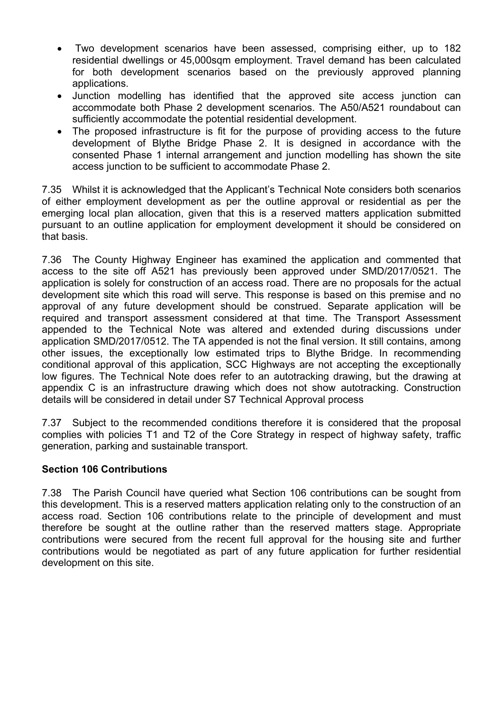- Two development scenarios have been assessed, comprising either, up to 182 residential dwellings or 45,000sqm employment. Travel demand has been calculated for both development scenarios based on the previously approved planning applications.
- Junction modelling has identified that the approved site access junction can accommodate both Phase 2 development scenarios. The A50/A521 roundabout can sufficiently accommodate the potential residential development.
- The proposed infrastructure is fit for the purpose of providing access to the future development of Blythe Bridge Phase 2. It is designed in accordance with the consented Phase 1 internal arrangement and junction modelling has shown the site access junction to be sufficient to accommodate Phase 2.

7.35 Whilst it is acknowledged that the Applicant's Technical Note considers both scenarios of either employment development as per the outline approval or residential as per the emerging local plan allocation, given that this is a reserved matters application submitted pursuant to an outline application for employment development it should be considered on that basis.

7.36 The County Highway Engineer has examined the application and commented that access to the site off A521 has previously been approved under SMD/2017/0521. The application is solely for construction of an access road. There are no proposals for the actual development site which this road will serve. This response is based on this premise and no approval of any future development should be construed. Separate application will be required and transport assessment considered at that time. The Transport Assessment appended to the Technical Note was altered and extended during discussions under application SMD/2017/0512. The TA appended is not the final version. It still contains, among other issues, the exceptionally low estimated trips to Blythe Bridge. In recommending conditional approval of this application, SCC Highways are not accepting the exceptionally low figures. The Technical Note does refer to an autotracking drawing, but the drawing at appendix C is an infrastructure drawing which does not show autotracking. Construction details will be considered in detail under S7 Technical Approval process

7.37 Subject to the recommended conditions therefore it is considered that the proposal complies with policies T1 and T2 of the Core Strategy in respect of highway safety, traffic generation, parking and sustainable transport.

## **Section 106 Contributions**

7.38 The Parish Council have queried what Section 106 contributions can be sought from this development. This is a reserved matters application relating only to the construction of an access road. Section 106 contributions relate to the principle of development and must therefore be sought at the outline rather than the reserved matters stage. Appropriate contributions were secured from the recent full approval for the housing site and further contributions would be negotiated as part of any future application for further residential development on this site.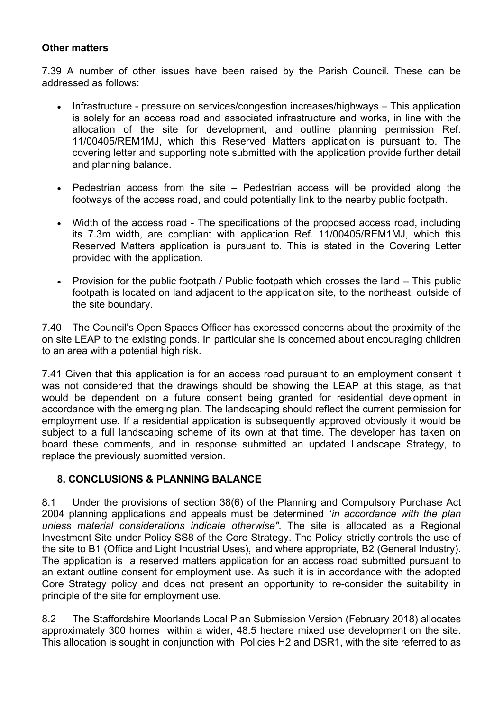### **Other matters**

7.39 A number of other issues have been raised by the Parish Council. These can be addressed as follows:

- Infrastructure pressure on services/congestion increases/highways This application is solely for an access road and associated infrastructure and works, in line with the allocation of the site for development, and outline planning permission Ref. 11/00405/REM1MJ, which this Reserved Matters application is pursuant to. The covering letter and supporting note submitted with the application provide further detail and planning balance.
- Pedestrian access from the site  $-$  Pedestrian access will be provided along the footways of the access road, and could potentially link to the nearby public footpath.
- Width of the access road The specifications of the proposed access road, including its 7.3m width, are compliant with application Ref. 11/00405/REM1MJ, which this Reserved Matters application is pursuant to. This is stated in the Covering Letter provided with the application.
- Provision for the public footpath / Public footpath which crosses the land This public footpath is located on land adjacent to the application site, to the northeast, outside of the site boundary.

7.40 The Council's Open Spaces Officer has expressed concerns about the proximity of the on site LEAP to the existing ponds. In particular she is concerned about encouraging children to an area with a potential high risk.

7.41 Given that this application is for an access road pursuant to an employment consent it was not considered that the drawings should be showing the LEAP at this stage, as that would be dependent on a future consent being granted for residential development in accordance with the emerging plan. The landscaping should reflect the current permission for employment use. If a residential application is subsequently approved obviously it would be subject to a full landscaping scheme of its own at that time. The developer has taken on board these comments, and in response submitted an updated Landscape Strategy, to replace the previously submitted version.

## **8. CONCLUSIONS & PLANNING BALANCE**

8.1 Under the provisions of section 38(6) of the Planning and Compulsory Purchase Act 2004 planning applications and appeals must be determined "*in accordance with the plan unless material considerations indicate otherwise"*. The site is allocated as a Regional Investment Site under Policy SS8 of the Core Strategy. The Policy strictly controls the use of the site to B1 (Office and Light Industrial Uses), and where appropriate, B2 (General Industry). The application is a reserved matters application for an access road submitted pursuant to an extant outline consent for employment use. As such it is in accordance with the adopted Core Strategy policy and does not present an opportunity to re-consider the suitability in principle of the site for employment use.

8.2 The Staffordshire Moorlands Local Plan Submission Version (February 2018) allocates approximately 300 homes within a wider, 48.5 hectare mixed use development on the site. This allocation is sought in conjunction with Policies H2 and DSR1, with the site referred to as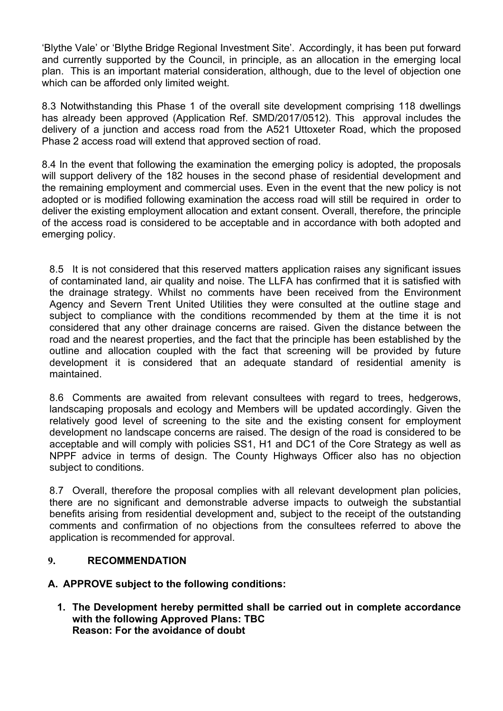'Blythe Vale' or 'Blythe Bridge Regional Investment Site'. Accordingly, it has been put forward and currently supported by the Council, in principle, as an allocation in the emerging local plan. This is an important material consideration, although, due to the level of objection one which can be afforded only limited weight.

8.3 Notwithstanding this Phase 1 of the overall site development comprising 118 dwellings has already been approved (Application Ref. SMD/2017/0512). This approval includes the delivery of a junction and access road from the A521 Uttoxeter Road, which the proposed Phase 2 access road will extend that approved section of road.

8.4 In the event that following the examination the emerging policy is adopted, the proposals will support delivery of the 182 houses in the second phase of residential development and the remaining employment and commercial uses. Even in the event that the new policy is not adopted or is modified following examination the access road will still be required in order to deliver the existing employment allocation and extant consent. Overall, therefore, the principle of the access road is considered to be acceptable and in accordance with both adopted and emerging policy.

8.5 It is not considered that this reserved matters application raises any significant issues of contaminated land, air quality and noise. The LLFA has confirmed that it is satisfied with the drainage strategy. Whilst no comments have been received from the Environment Agency and Severn Trent United Utilities they were consulted at the outline stage and subject to compliance with the conditions recommended by them at the time it is not considered that any other drainage concerns are raised. Given the distance between the road and the nearest properties, and the fact that the principle has been established by the outline and allocation coupled with the fact that screening will be provided by future development it is considered that an adequate standard of residential amenity is maintained.

8.6 Comments are awaited from relevant consultees with regard to trees, hedgerows, landscaping proposals and ecology and Members will be updated accordingly. Given the relatively good level of screening to the site and the existing consent for employment development no landscape concerns are raised. The design of the road is considered to be acceptable and will comply with policies SS1, H1 and DC1 of the Core Strategy as well as NPPF advice in terms of design. The County Highways Officer also has no objection subject to conditions.

8.7 Overall, therefore the proposal complies with all relevant development plan policies, there are no significant and demonstrable adverse impacts to outweigh the substantial benefits arising from residential development and, subject to the receipt of the outstanding comments and confirmation of no objections from the consultees referred to above the application is recommended for approval.

## **9. RECOMMENDATION**

**A. APPROVE subject to the following conditions:**

**1. The Development hereby permitted shall be carried out in complete accordance with the following Approved Plans: TBC Reason: For the avoidance of doubt**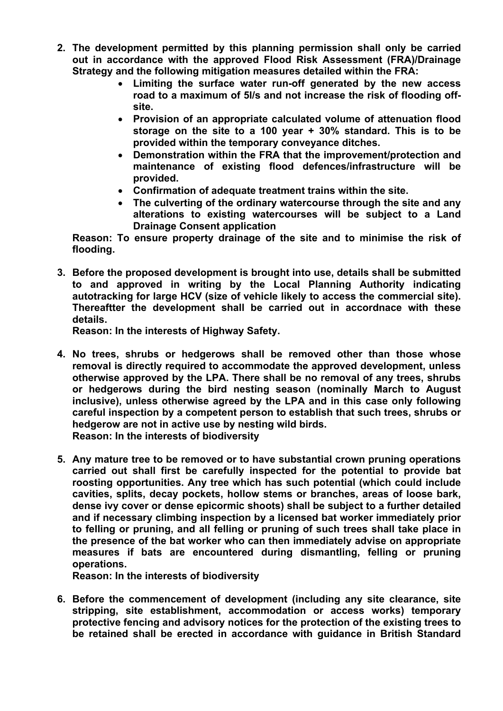- **2. The development permitted by this planning permission shall only be carried out in accordance with the approved Flood Risk Assessment (FRA)/Drainage Strategy and the following mitigation measures detailed within the FRA:**
	- **Limiting the surface water run-off generated by the new access road to a maximum of 5l/s and not increase the risk of flooding offsite.**
	- **Provision of an appropriate calculated volume of attenuation flood storage on the site to a 100 year + 30% standard. This is to be provided within the temporary conveyance ditches.**
	- **Demonstration within the FRA that the improvement/protection and maintenance of existing flood defences/infrastructure will be provided.**
	- **Confirmation of adequate treatment trains within the site.**
	- **The culverting of the ordinary watercourse through the site and any alterations to existing watercourses will be subject to a Land Drainage Consent application**

**Reason: To ensure property drainage of the site and to minimise the risk of flooding.**

**3. Before the proposed development is brought into use, details shall be submitted to and approved in writing by the Local Planning Authority indicating autotracking for large HCV (size of vehicle likely to access the commercial site). Thereaftter the development shall be carried out in accordnace with these details.**

**Reason: In the interests of Highway Safety.**

- **4. No trees, shrubs or hedgerows shall be removed other than those whose removal is directly required to accommodate the approved development, unless otherwise approved by the LPA. There shall be no removal of any trees, shrubs or hedgerows during the bird nesting season (nominally March to August inclusive), unless otherwise agreed by the LPA and in this case only following careful inspection by a competent person to establish that such trees, shrubs or hedgerow are not in active use by nesting wild birds. Reason: In the interests of biodiversity**
- **5. Any mature tree to be removed or to have substantial crown pruning operations carried out shall first be carefully inspected for the potential to provide bat roosting opportunities. Any tree which has such potential (which could include cavities, splits, decay pockets, hollow stems or branches, areas of loose bark, dense ivy cover or dense epicormic shoots) shall be subject to a further detailed and if necessary climbing inspection by a licensed bat worker immediately prior to felling or pruning, and all felling or pruning of such trees shall take place in the presence of the bat worker who can then immediately advise on appropriate measures if bats are encountered during dismantling, felling or pruning operations.**

**Reason: In the interests of biodiversity**

**6. Before the commencement of development (including any site clearance, site stripping, site establishment, accommodation or access works) temporary protective fencing and advisory notices for the protection of the existing trees to be retained shall be erected in accordance with guidance in British Standard**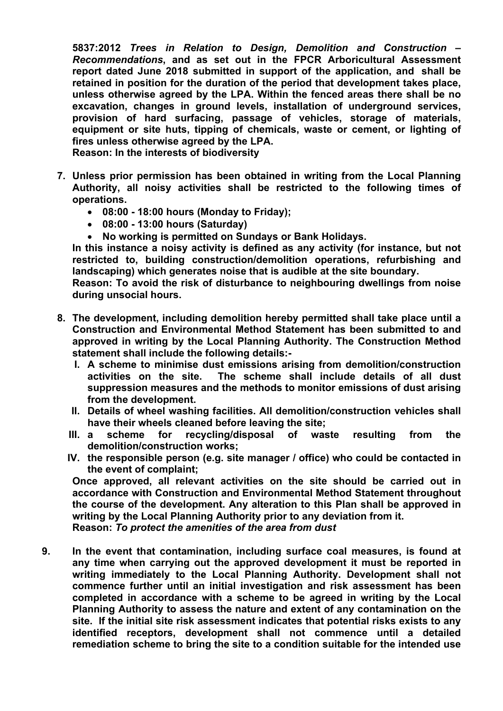**5837:2012** *Trees in Relation to Design, Demolition and Construction – Recommendations***, and as set out in the FPCR Arboricultural Assessment report dated June 2018 submitted in support of the application, and shall be retained in position for the duration of the period that development takes place, unless otherwise agreed by the LPA. Within the fenced areas there shall be no excavation, changes in ground levels, installation of underground services, provision of hard surfacing, passage of vehicles, storage of materials, equipment or site huts, tipping of chemicals, waste or cement, or lighting of fires unless otherwise agreed by the LPA.**

**Reason: In the interests of biodiversity**

- **7. Unless prior permission has been obtained in writing from the Local Planning Authority, all noisy activities shall be restricted to the following times of operations.**
	- **08:00 - 18:00 hours (Monday to Friday);**
	- **08:00 - 13:00 hours (Saturday)**
	- **No working is permitted on Sundays or Bank Holidays.**

**In this instance a noisy activity is defined as any activity (for instance, but not restricted to, building construction/demolition operations, refurbishing and landscaping) which generates noise that is audible at the site boundary.** 

**Reason: To avoid the risk of disturbance to neighbouring dwellings from noise during unsocial hours.**

- **8. The development, including demolition hereby permitted shall take place until a Construction and Environmental Method Statement has been submitted to and approved in writing by the Local Planning Authority. The Construction Method statement shall include the following details:-**
	- **I. A scheme to minimise dust emissions arising from demolition/construction activities on the site. The scheme shall include details of all dust suppression measures and the methods to monitor emissions of dust arising from the development.**
	- **II. Details of wheel washing facilities. All demolition/construction vehicles shall have their wheels cleaned before leaving the site;**
	- **III. a scheme for recycling/disposal of waste resulting from the demolition/construction works;**
	- **IV. the responsible person (e.g. site manager / office) who could be contacted in the event of complaint;**

**Once approved, all relevant activities on the site should be carried out in accordance with Construction and Environmental Method Statement throughout the course of the development. Any alteration to this Plan shall be approved in writing by the Local Planning Authority prior to any deviation from it. Reason:** *To protect the amenities of the area from dust*

**9. In the event that contamination, including surface coal measures, is found at any time when carrying out the approved development it must be reported in writing immediately to the Local Planning Authority. Development shall not commence further until an initial investigation and risk assessment has been completed in accordance with a scheme to be agreed in writing by the Local Planning Authority to assess the nature and extent of any contamination on the site. If the initial site risk assessment indicates that potential risks exists to any identified receptors, development shall not commence until a detailed remediation scheme to bring the site to a condition suitable for the intended use**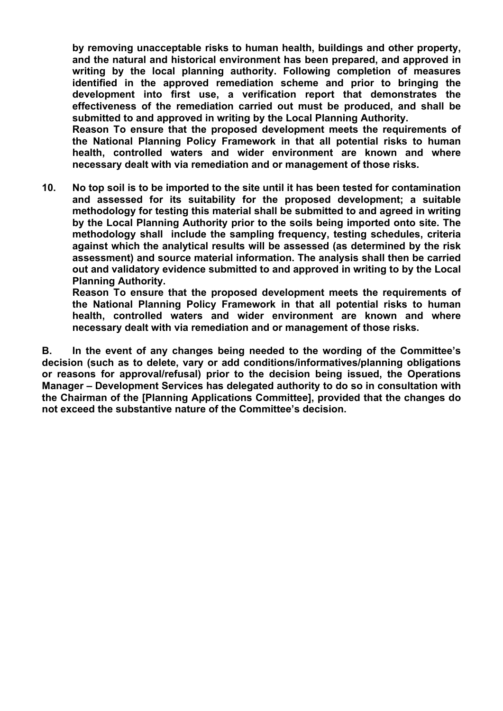**by removing unacceptable risks to human health, buildings and other property, and the natural and historical environment has been prepared, and approved in writing by the local planning authority. Following completion of measures identified in the approved remediation scheme and prior to bringing the development into first use, a verification report that demonstrates the effectiveness of the remediation carried out must be produced, and shall be submitted to and approved in writing by the Local Planning Authority.**

**Reason To ensure that the proposed development meets the requirements of the National Planning Policy Framework in that all potential risks to human health, controlled waters and wider environment are known and where necessary dealt with via remediation and or management of those risks.**

**10. No top soil is to be imported to the site until it has been tested for contamination and assessed for its suitability for the proposed development; a suitable methodology for testing this material shall be submitted to and agreed in writing by the Local Planning Authority prior to the soils being imported onto site. The methodology shall include the sampling frequency, testing schedules, criteria against which the analytical results will be assessed (as determined by the risk assessment) and source material information. The analysis shall then be carried out and validatory evidence submitted to and approved in writing to by the Local Planning Authority.**

**Reason To ensure that the proposed development meets the requirements of the National Planning Policy Framework in that all potential risks to human health, controlled waters and wider environment are known and where necessary dealt with via remediation and or management of those risks.**

**B. In the event of any changes being needed to the wording of the Committee's decision (such as to delete, vary or add conditions/informatives/planning obligations or reasons for approval/refusal) prior to the decision being issued, the Operations Manager – Development Services has delegated authority to do so in consultation with the Chairman of the [Planning Applications Committee], provided that the changes do not exceed the substantive nature of the Committee's decision.**